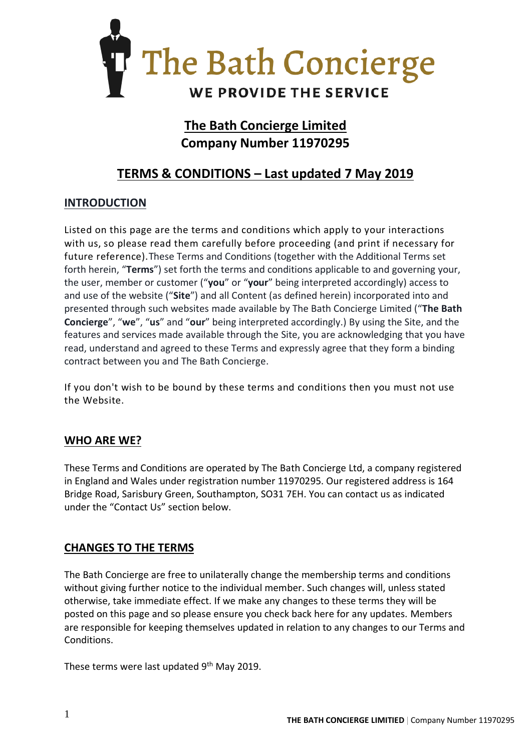

# **The Bath Concierge Limited Company Number 11970295**

# **TERMS & CONDITIONS – Last updated 7 May 2019**

# **INTRODUCTION**

Listed on this page are the terms and conditions which apply to your interactions with us, so please read them carefully before proceeding (and print if necessary for future reference).These Terms and Conditions (together with the Additional Terms set forth herein, "**Terms**") set forth the terms and conditions applicable to and governing your, the user, member or customer ("**you**" or "**your**" being interpreted accordingly) access to and use of the website ("**Site**") and all Content (as defined herein) incorporated into and presented through such websites made available by The Bath Concierge Limited ("**The Bath Concierge**", "**we**", "**us**" and "**our**" being interpreted accordingly.) By using the Site, and the features and services made available through the Site, you are acknowledging that you have read, understand and agreed to these Terms and expressly agree that they form a binding contract between you and The Bath Concierge.

If you don't wish to be bound by these terms and conditions then you must not use the Website.

### **WHO ARE WE?**

These Terms and Conditions are operated by The Bath Concierge Ltd, a company registered in England and Wales under registration number 11970295. Our registered address is 164 Bridge Road, Sarisbury Green, Southampton, SO31 7EH. You can contact us as indicated under the "Contact Us" section below.

### **CHANGES TO THE TERMS**

The Bath Concierge are free to unilaterally change the membership terms and conditions without giving further notice to the individual member. Such changes will, unless stated otherwise, take immediate effect. If we make any changes to these terms they will be posted on this page and so please ensure you check back here for any updates. Members are responsible for keeping themselves updated in relation to any changes to our Terms and Conditions.

These terms were last updated 9<sup>th</sup> May 2019.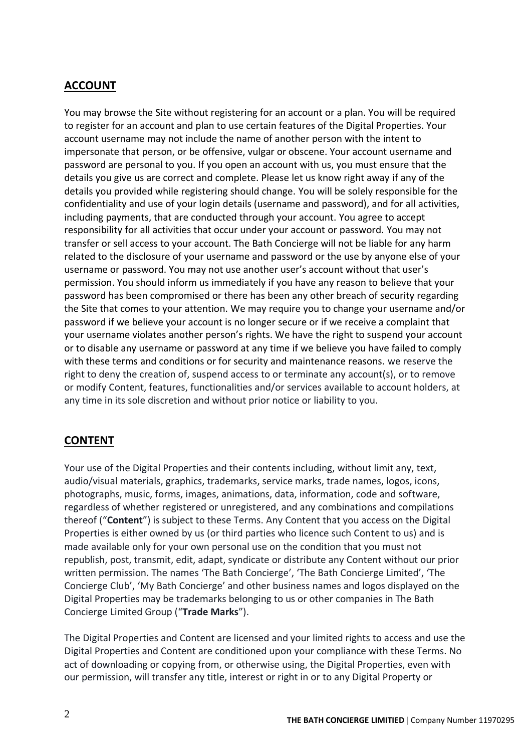# **ACCOUNT**

You may browse the Site without registering for an account or a plan. You will be required to register for an account and plan to use certain features of the Digital Properties. Your account username may not include the name of another person with the intent to impersonate that person, or be offensive, vulgar or obscene. Your account username and password are personal to you. If you open an account with us, you must ensure that the details you give us are correct and complete. Please let us know right away if any of the details you provided while registering should change. You will be solely responsible for the confidentiality and use of your login details (username and password), and for all activities, including payments, that are conducted through your account. You agree to accept responsibility for all activities that occur under your account or password. You may not transfer or sell access to your account. The Bath Concierge will not be liable for any harm related to the disclosure of your username and password or the use by anyone else of your username or password. You may not use another user's account without that user's permission. You should inform us immediately if you have any reason to believe that your password has been compromised or there has been any other breach of security regarding the Site that comes to your attention. We may require you to change your username and/or password if we believe your account is no longer secure or if we receive a complaint that your username violates another person's rights. We have the right to suspend your account or to disable any username or password at any time if we believe you have failed to comply with these terms and conditions or for security and maintenance reasons. we reserve the right to deny the creation of, suspend access to or terminate any account(s), or to remove or modify Content, features, functionalities and/or services available to account holders, at any time in its sole discretion and without prior notice or liability to you.

# **CONTENT**

Your use of the Digital Properties and their contents including, without limit any, text, audio/visual materials, graphics, trademarks, service marks, trade names, logos, icons, photographs, music, forms, images, animations, data, information, code and software, regardless of whether registered or unregistered, and any combinations and compilations thereof ("**Content**") is subject to these Terms. Any Content that you access on the Digital Properties is either owned by us (or third parties who licence such Content to us) and is made available only for your own personal use on the condition that you must not republish, post, transmit, edit, adapt, syndicate or distribute any Content without our prior written permission. The names 'The Bath Concierge', 'The Bath Concierge Limited', 'The Concierge Club', 'My Bath Concierge' and other business names and logos displayed on the Digital Properties may be trademarks belonging to us or other companies in The Bath Concierge Limited Group ("**Trade Marks**").

The Digital Properties and Content are licensed and your limited rights to access and use the Digital Properties and Content are conditioned upon your compliance with these Terms. No act of downloading or copying from, or otherwise using, the Digital Properties, even with our permission, will transfer any title, interest or right in or to any Digital Property or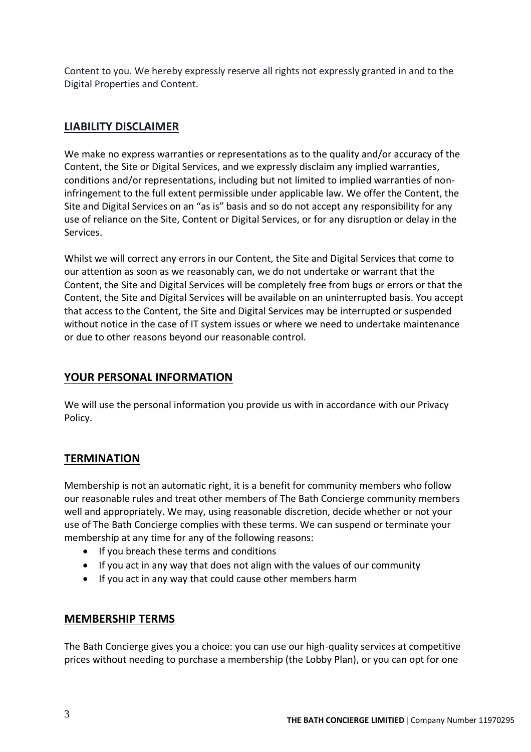Content to you. We hereby expressly reserve all rights not expressly granted in and to the Digital Properties and Content.

### **LIABILITY DISCLAIMER**

We make no express warranties or representations as to the quality and/or accuracy of the Content, the Site or Digital Services, and we expressly disclaim any implied warranties, conditions and/or representations, including but not limited to implied warranties of noninfringement to the full extent permissible under applicable law. We offer the Content, the Site and Digital Services on an "as is" basis and so do not accept any responsibility for any use of reliance on the Site, Content or Digital Services, or for any disruption or delay in the Services.

Whilst we will correct any errors in our Content, the Site and Digital Services that come to our attention as soon as we reasonably can, we do not undertake or warrant that the Content, the Site and Digital Services will be completely free from bugs or errors or that the Content, the Site and Digital Services will be available on an uninterrupted basis. You accept that access to the Content, the Site and Digital Services may be interrupted or suspended without notice in the case of IT system issues or where we need to undertake maintenance or due to other reasons beyond our reasonable control.

# **YOUR PERSONAL INFORMATION**

We will use the personal information you provide us with in accordance with our Privacy Policy.

# **TERMINATION**

Membership is not an automatic right, it is a benefit for community members who follow our reasonable rules and treat other members of The Bath Concierge community members well and appropriately. We may, using reasonable discretion, decide whether or not your use of The Bath Concierge complies with these terms. We can suspend or terminate your membership at any time for any of the following reasons:

- If you breach these terms and conditions
- If you act in any way that does not align with the values of our community
- If you act in any way that could cause other members harm

### **MEMBERSHIP TERMS**

The Bath Concierge gives you a choice: you can use our high-quality services at competitive prices without needing to purchase a membership (the Lobby Plan), or you can opt for one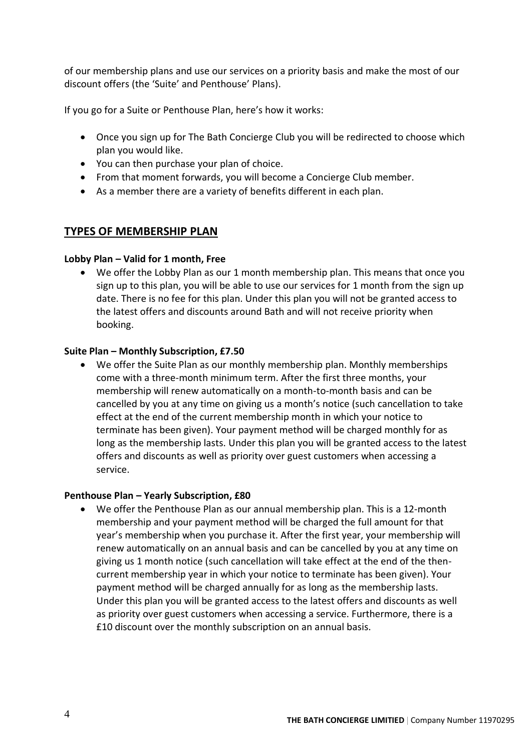of our membership plans and use our services on a priority basis and make the most of our discount offers (the 'Suite' and Penthouse' Plans).

If you go for a Suite or Penthouse Plan, here's how it works:

- Once you sign up for The Bath Concierge Club you will be redirected to choose which plan you would like.
- You can then purchase your plan of choice.
- From that moment forwards, you will become a Concierge Club member.
- As a member there are a variety of benefits different in each plan.

### **TYPES OF MEMBERSHIP PLAN**

#### **Lobby Plan – Valid for 1 month, Free**

• We offer the Lobby Plan as our 1 month membership plan. This means that once you sign up to this plan, you will be able to use our services for 1 month from the sign up date. There is no fee for this plan. Under this plan you will not be granted access to the latest offers and discounts around Bath and will not receive priority when booking.

#### **Suite Plan – Monthly Subscription, £7.50**

• We offer the Suite Plan as our monthly membership plan. Monthly memberships come with a three-month minimum term. After the first three months, your membership will renew automatically on a month-to-month basis and can be cancelled by you at any time on giving us a month's notice (such cancellation to take effect at the end of the current membership month in which your notice to terminate has been given). Your payment method will be charged monthly for as long as the membership lasts. Under this plan you will be granted access to the latest offers and discounts as well as priority over guest customers when accessing a service.

#### **Penthouse Plan – Yearly Subscription, £80**

• We offer the Penthouse Plan as our annual membership plan. This is a 12-month membership and your payment method will be charged the full amount for that year's membership when you purchase it. After the first year, your membership will renew automatically on an annual basis and can be cancelled by you at any time on giving us 1 month notice (such cancellation will take effect at the end of the thencurrent membership year in which your notice to terminate has been given). Your payment method will be charged annually for as long as the membership lasts. Under this plan you will be granted access to the latest offers and discounts as well as priority over guest customers when accessing a service. Furthermore, there is a £10 discount over the monthly subscription on an annual basis.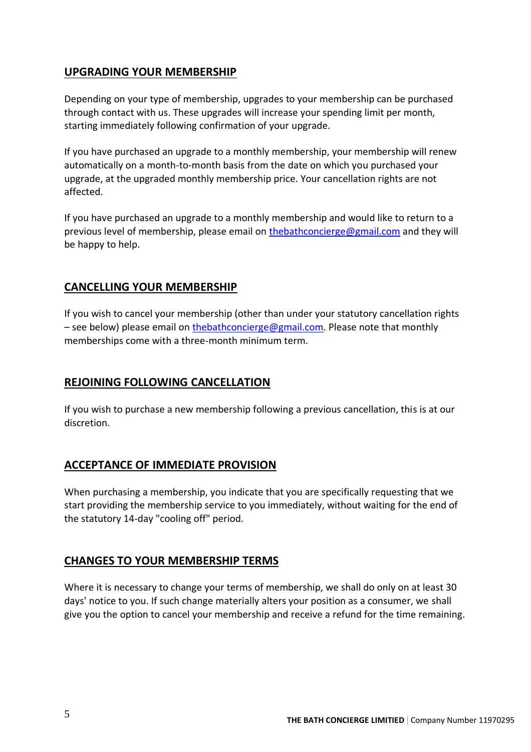## **UPGRADING YOUR MEMBERSHIP**

Depending on your type of membership, upgrades to your membership can be purchased through contact with us. These upgrades will increase your spending limit per month, starting immediately following confirmation of your upgrade.

If you have purchased an upgrade to a monthly membership, your membership will renew automatically on a month-to-month basis from the date on which you purchased your upgrade, at the upgraded monthly membership price. Your cancellation rights are not affected.

If you have purchased an upgrade to a monthly membership and would like to return to a previous level of membership, please email on [thebathconcierge@gmail.com](mailto:thebathconcierge@gmail.com) and they will be happy to help.

### **CANCELLING YOUR MEMBERSHIP**

If you wish to cancel your membership (other than under your statutory cancellation rights – see below) please email on [thebathconcierge@gmail.com.](mailto:thebathconcierge@gmail.com) Please note that monthly memberships come with a three-month minimum term.

# **REJOINING FOLLOWING CANCELLATION**

If you wish to purchase a new membership following a previous cancellation, this is at our discretion.

# **ACCEPTANCE OF IMMEDIATE PROVISION**

When purchasing a membership, you indicate that you are specifically requesting that we start providing the membership service to you immediately, without waiting for the end of the statutory 14-day "cooling off" period.

### **CHANGES TO YOUR MEMBERSHIP TERMS**

Where it is necessary to change your terms of membership, we shall do only on at least 30 days' notice to you. If such change materially alters your position as a consumer, we shall give you the option to cancel your membership and receive a refund for the time remaining.